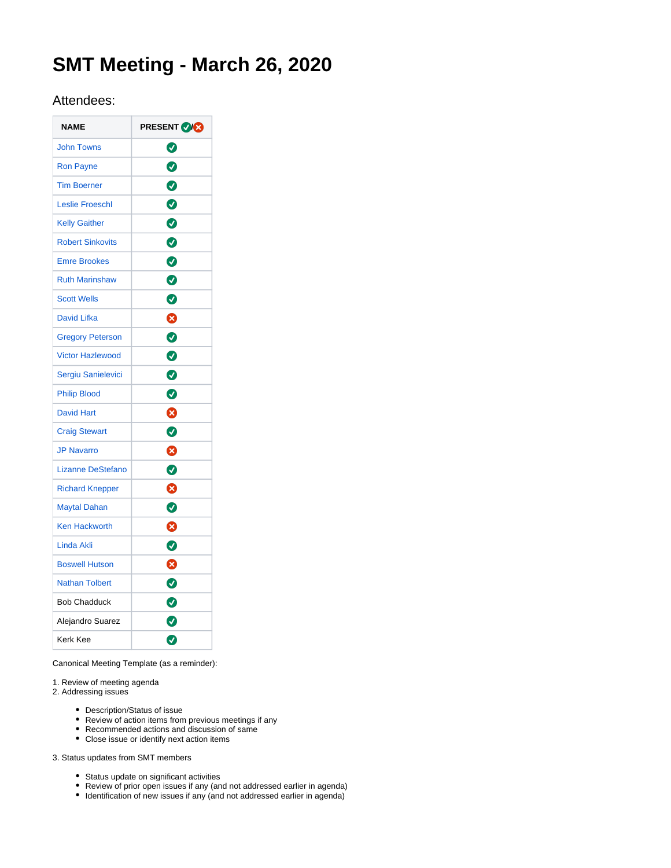# **SMT Meeting - March 26, 2020**

# Attendees:

| <b>NAME</b>              | <b>PRESENT OG</b> |
|--------------------------|-------------------|
| <b>John Towns</b>        | ◙                 |
| <b>Ron Payne</b>         | Ø                 |
| <b>Tim Boerner</b>       | $\bullet$         |
| <b>Leslie Froeschl</b>   | $\bullet$         |
| <b>Kelly Gaither</b>     | $\bullet$         |
| <b>Robert Sinkovits</b>  | $\bullet$         |
| <b>Emre Brookes</b>      | 0                 |
| <b>Ruth Marinshaw</b>    | 0                 |
| <b>Scott Wells</b>       | Ø                 |
| <b>David Lifka</b>       | 0                 |
| <b>Gregory Peterson</b>  | ◙                 |
| <b>Victor Hazlewood</b>  | 0                 |
| Sergiu Sanielevici       | ◙                 |
| <b>Philip Blood</b>      | 0                 |
| <b>David Hart</b>        | ⊗                 |
| <b>Craig Stewart</b>     | ◙                 |
| <b>JP Navarro</b>        | ☺                 |
| <b>Lizanne DeStefano</b> | $\bullet$         |
| <b>Richard Knepper</b>   | ❸                 |
| <b>Maytal Dahan</b>      | $\bullet$         |
| <b>Ken Hackworth</b>     | ظ                 |
| Linda Akli               | 0                 |
| <b>Boswell Hutson</b>    | ❸                 |
| <b>Nathan Tolbert</b>    | 0                 |
| <b>Bob Chadduck</b>      | $\bullet$         |
| Alejandro Suarez         | Ø                 |
| Kerk Kee                 | Ø                 |

Canonical Meeting Template (as a reminder):

1. Review of meeting agenda

2. Addressing issues

- Description/Status of issue
- Review of action items from previous meetings if any
- Recommended actions and discussion of same Close issue or identify next action items
- 

3. Status updates from SMT members

- Status update on significant activities
- Review of prior open issues if any (and not addressed earlier in agenda)
- $\bullet$  Identification of new issues if any (and not addressed earlier in agenda)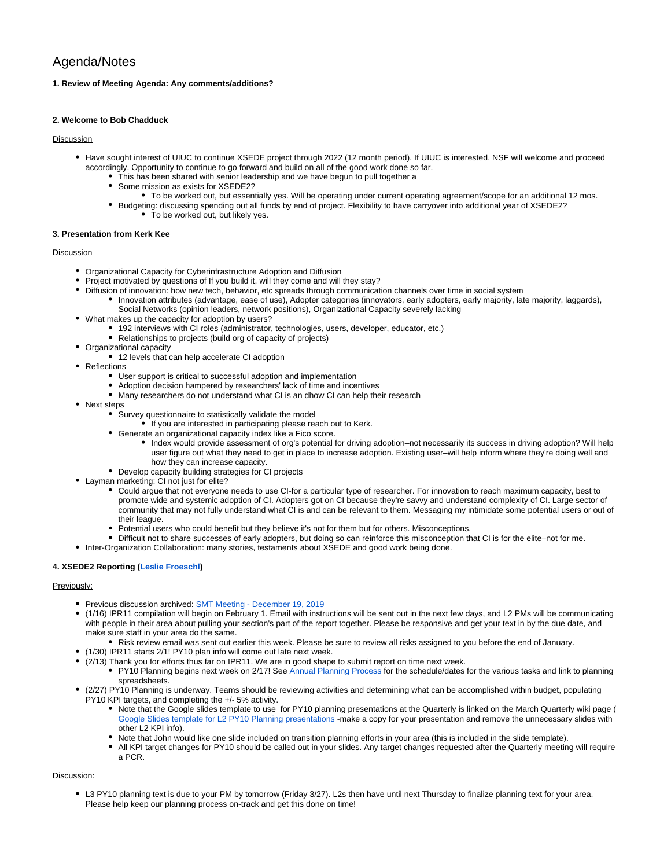# Agenda/Notes

## **1. Review of Meeting Agenda: Any comments/additions?**

#### **2. Welcome to Bob Chadduck**

## Discussion

- Have sought interest of UIUC to continue XSEDE project through 2022 (12 month period). If UIUC is interested, NSF will welcome and proceed accordingly. Opportunity to continue to go forward and build on all of the good work done so far.
	- This has been shared with senior leadership and we have begun to pull together a
	- Some mission as exists for XSEDE2?
	- To be worked out, but essentially yes. Will be operating under current operating agreement/scope for an additional 12 mos. Budgeting: discussing spending out all funds by end of project. Flexibility to have carryover into additional year of XSEDE2?
		- To be worked out, but likely yes.

#### **3. Presentation from Kerk Kee**

## Discussion

- Organizational Capacity for Cyberinfrastructure Adoption and Diffusion
- Project motivated by questions of If you build it, will they come and will they stay?
- Diffusion of innovation: how new tech, behavior, etc spreads through communication channels over time in social system
	- Innovation attributes (advantage, ease of use), Adopter categories (innovators, early adopters, early majority, late majority, laggards), Social Networks (opinion leaders, network positions), Organizational Capacity severely lacking
- What makes up the capacity for adoption by users?
	- 192 interviews with CI roles (administrator, technologies, users, developer, educator, etc.)
	- Relationships to projects (build org of capacity of projects)
- Organizational capacity
	- 12 levels that can help accelerate CI adoption
- Reflections
	- User support is critical to successful adoption and implementation
	- Adoption decision hampered by researchers' lack of time and incentives
	- Many researchers do not understand what CI is an dhow CI can help their research
- Next steps
	- Survey questionnaire to statistically validate the model
	- If you are interested in participating please reach out to Kerk.
	- Generate an organizational capacity index like a Fico score.
		- Index would provide assessment of org's potential for driving adoption–not necessarily its success in driving adoption? Will help user figure out what they need to get in place to increase adoption. Existing user–will help inform where they're doing well and how they can increase capacity.
	- Develop capacity building strategies for CI projects
- Layman marketing: CI not just for elite?
	- Could argue that not everyone needs to use CI-for a particular type of researcher. For innovation to reach maximum capacity, best to promote wide and systemic adoption of CI. Adopters got on CI because they're savvy and understand complexity of CI. Large sector of community that may not fully understand what CI is and can be relevant to them. Messaging my intimidate some potential users or out of their league.
	- Potential users who could benefit but they believe it's not for them but for others. Misconceptions.
- Difficult not to share successes of early adopters, but doing so can reinforce this misconception that CI is for the elite–not for me.
- Inter-Organization Collaboration: many stories, testaments about XSEDE and good work being done.

#### **4. XSEDE2 Reporting [\(Leslie Froeschl\)](https://confluence.xsede.org/display/~lfroesch)**

#### Previously:

- Previous discussion archived: [SMT Meeting December 19, 2019](https://confluence.xsede.org/display/XT/SMT+Meeting+-+December+19%2C+2019)
- (1/16) IPR11 compilation will begin on February 1. Email with instructions will be sent out in the next few days, and L2 PMs will be communicating with people in their area about pulling your section's part of the report together. Please be responsive and get your text in by the due date, and make sure staff in your area do the same.
	- Risk review email was sent out earlier this week. Please be sure to review all risks assigned to you before the end of January.
- (1/30) IPR11 starts 2/1! PY10 plan info will come out late next week.
- (2/13) Thank you for efforts thus far on IPR11. We are in good shape to submit report on time next week.
	- PY10 Planning begins next week on 2/17! See [Annual Planning Process](https://confluence.xsede.org/display/XT/Annual+Planning+Process) for the schedule/dates for the various tasks and link to planning spreadsheets.
- (2/27) PY10 Planning is underway. Teams should be reviewing activities and determining what can be accomplished within budget, populating PY10 KPI targets, and completing the +/- 5% activity.
	- Note that the Google slides template to use for PY10 planning presentations at the Quarterly is linked on the March Quarterly wiki page ( [Google Slides template for L2 PY10 Planning presentations](https://docs.google.com/presentation/d/1aosiXJAeQgI5Yl42_wM9DU7hjAFYdymN44Nq8b97i9w/edit#slide=id.g7d2691c7d3_0_105) -make a copy for your presentation and remove the unnecessary slides with other L2 KPI info).
	- Note that John would like one slide included on transition planning efforts in your area (this is included in the slide template).
	- All KPI target changes for PY10 should be called out in your slides. Any target changes requested after the Quarterly meeting will require a PCR.

## Discussion:

L3 PY10 planning text is due to your PM by tomorrow (Friday 3/27). L2s then have until next Thursday to finalize planning text for your area. Please help keep our planning process on-track and get this done on time!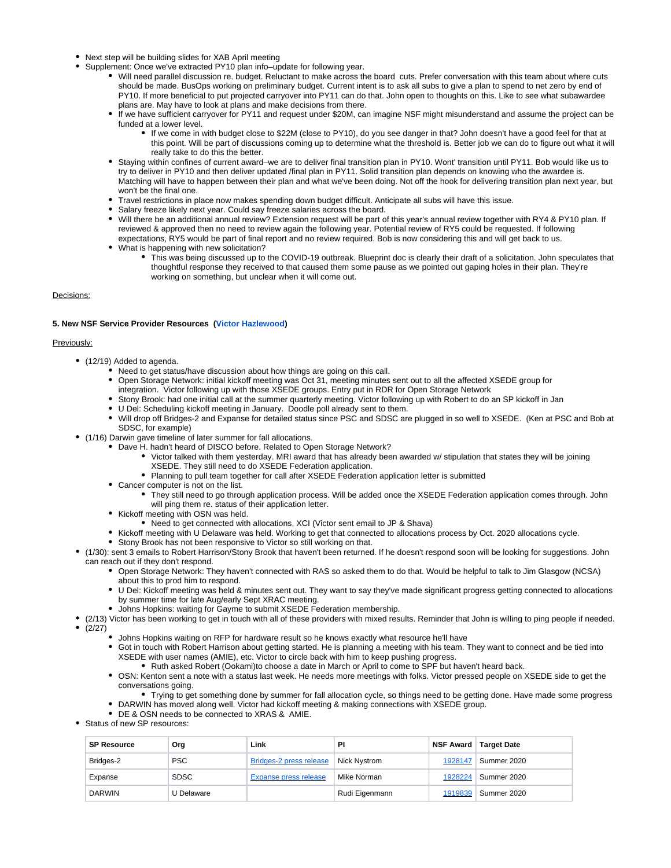- Next step will be building slides for XAB April meeting
- Supplement: Once we've extracted PY10 plan info–update for following year.
	- Will need parallel discussion re. budget. Reluctant to make across the board cuts. Prefer conversation with this team about where cuts should be made. BusOps working on preliminary budget. Current intent is to ask all subs to give a plan to spend to net zero by end of PY10. If more beneficial to put projected carryover into PY11 can do that. John open to thoughts on this. Like to see what subawardee plans are. May have to look at plans and make decisions from there.
	- If we have sufficient carryover for PY11 and request under \$20M, can imagine NSF might misunderstand and assume the project can be funded at a lower level.
		- If we come in with budget close to \$22M (close to PY10), do you see danger in that? John doesn't have a good feel for that at this point. Will be part of discussions coming up to determine what the threshold is. Better job we can do to figure out what it will really take to do this the better.
	- Staying within confines of current award–we are to deliver final transition plan in PY10. Wont' transition until PY11. Bob would like us to try to deliver in PY10 and then deliver updated /final plan in PY11. Solid transition plan depends on knowing who the awardee is. Matching will have to happen between their plan and what we've been doing. Not off the hook for delivering transition plan next year, but won't be the final one.
	- Travel restrictions in place now makes spending down budget difficult. Anticipate all subs will have this issue.
	- Salary freeze likely next year. Could say freeze salaries across the board.
	- Will there be an additional annual review? Extension request will be part of this year's annual review together with RY4 & PY10 plan. If reviewed & approved then no need to review again the following year. Potential review of RY5 could be requested. If following expectations, RY5 would be part of final report and no review required. Bob is now considering this and will get back to us.
	- What is happening with new solicitation?
		- This was being discussed up to the COVID-19 outbreak. Blueprint doc is clearly their draft of a solicitation. John speculates that thoughtful response they received to that caused them some pause as we pointed out gaping holes in their plan. They're working on something, but unclear when it will come out.

## Decisions:

#### **5. New NSF Service Provider Resources [\(Victor Hazlewood\)](https://confluence.xsede.org/display/~victorh)**

#### Previously:

- (12/19) Added to agenda.
	- Need to get status/have discussion about how things are going on this call.
	- Open Storage Network: initial kickoff meeting was Oct 31, meeting minutes sent out to all the affected XSEDE group for integration. Victor following up with those XSEDE groups. Entry put in RDR for Open Storage Network
	- Stony Brook: had one initial call at the summer quarterly meeting. Victor following up with Robert to do an SP kickoff in Jan
	- U Del: Scheduling kickoff meeting in January. Doodle poll already sent to them.
	- Will drop off Bridges-2 and Expanse for detailed status since PSC and SDSC are plugged in so well to XSEDE. (Ken at PSC and Bob at SDSC, for example)
- (1/16) Darwin gave timeline of later summer for fall allocations.
	- Dave H. hadn't heard of DISCO before. Related to Open Storage Network?
		- Victor talked with them yesterday. MRI award that has already been awarded w/ stipulation that states they will be joining XSEDE. They still need to do XSEDE Federation application.
		- Planning to pull team together for call after XSEDE Federation application letter is submitted
	- Cancer computer is not on the list.
		- They still need to go through application process. Will be added once the XSEDE Federation application comes through. John will ping them re. status of their application letter.
	- Kickoff meeting with OSN was held.
		- Need to get connected with allocations, XCI (Victor sent email to JP & Shava)
	- Kickoff meeting with U Delaware was held. Working to get that connected to allocations process by Oct. 2020 allocations cycle.
	- Stony Brook has not been responsive to Victor so still working on that.
- (1/30): sent 3 emails to Robert Harrison/Stony Brook that haven't been returned. If he doesn't respond soon will be looking for suggestions. John can reach out if they don't respond.
	- Open Storage Network: They haven't connected with RAS so asked them to do that. Would be helpful to talk to Jim Glasgow (NCSA) about this to prod him to respond.
	- U Del: Kickoff meeting was held & minutes sent out. They want to say they've made significant progress getting connected to allocations by summer time for late Aug/early Sept XRAC meeting.
	- Johns Hopkins: waiting for Gayme to submit XSEDE Federation membership.
- (2/13) Victor has been working to get in touch with all of these providers with mixed results. Reminder that John is willing to ping people if needed.
- $\ddot{\phantom{a}}$  $(2/27)$ 
	- Johns Hopkins waiting on RFP for hardware result so he knows exactly what resource he'll have
	- Got in touch with Robert Harrison about getting started. He is planning a meeting with his team. They want to connect and be tied into XSEDE with user names (AMIE), etc. Victor to circle back with him to keep pushing progress.
		- Ruth asked Robert (Ookami)to choose a date in March or April to come to SPF but haven't heard back.
	- OSN: Kenton sent a note with a status last week. He needs more meetings with folks. Victor pressed people on XSEDE side to get the conversations going.
	- Trying to get something done by summer for fall allocation cycle, so things need to be getting done. Have made some progress DARWIN has moved along well. Victor had kickoff meeting & making connections with XSEDE group.
	- DE & OSN needs to be connected to XRAS & AMIE.
- Status of new SP resources:

| <b>SP Resource</b> | Org         | Link                         | ΡI             |         | NSF Award   Target Date |
|--------------------|-------------|------------------------------|----------------|---------|-------------------------|
| Bridges-2          | <b>PSC</b>  | Bridges-2 press release      | Nick Nystrom   | 1928147 | Summer 2020             |
| Expanse            | <b>SDSC</b> | <b>Expanse press release</b> | Mike Norman    | 1928224 | Summer 2020             |
| <b>DARWIN</b>      | U Delaware  |                              | Rudi Eigenmann | 1919839 | Summer 2020             |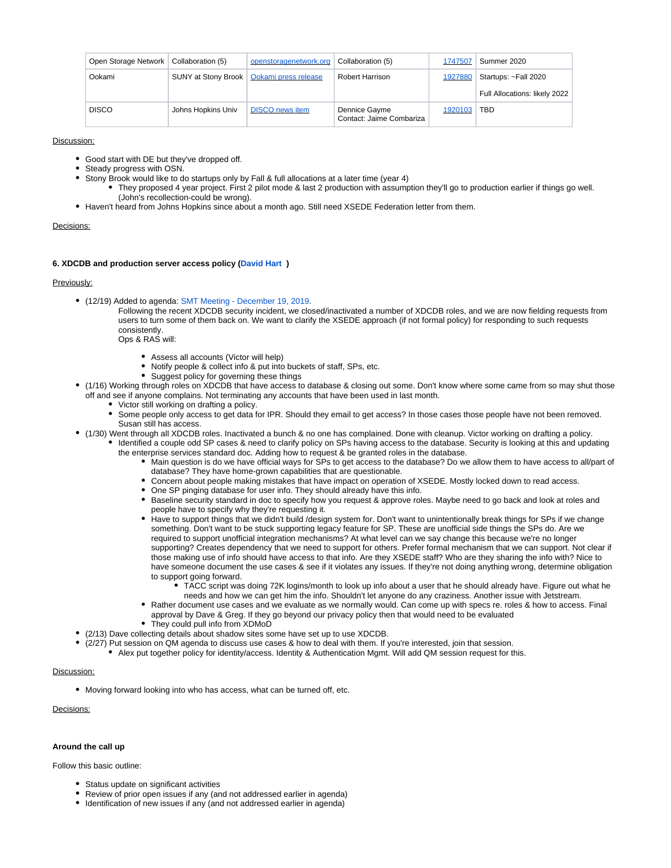| Open Storage Network | Collaboration (5)  | openstoragenetwork.org                     | Collaboration (5)                         | 1747507 | Summer 2020                   |
|----------------------|--------------------|--------------------------------------------|-------------------------------------------|---------|-------------------------------|
| Ookami               |                    | SUNY at Stony Brook   Ookami press release | Robert Harrison                           | 1927880 | Startups: ~Fall 2020          |
|                      |                    |                                            |                                           |         | Full Allocations: likely 2022 |
| <b>DISCO</b>         | Johns Hopkins Univ | <b>DISCO</b> news item                     | Dennice Gayme<br>Contact: Jaime Combariza | 1920103 | <b>TBD</b>                    |

#### Discussion:

- Good start with DE but they've dropped off.
- Steady progress with OSN.
- Stony Brook would like to do startups only by Fall & full allocations at a later time (year 4)
	- They proposed 4 year project. First 2 pilot mode & last 2 production with assumption they'll go to production earlier if things go well. (John's recollection-could be wrong).
- Haven't heard from Johns Hopkins since about a month ago. Still need XSEDE Federation letter from them.

#### Decisions:

#### **6. XDCDB and production server access policy ([David Hart](https://confluence.xsede.org/display/~davidlh) )**

#### Previously:

(12/19) Added to agenda: [SMT Meeting - December 19, 2019](https://confluence.xsede.org/display/XT/SMT+Meeting+-+December+19%2C+2019).

Following the recent XDCDB security incident, we closed/inactivated a number of XDCDB roles, and we are now fielding requests from users to turn some of them back on. We want to clarify the XSEDE approach (if not formal policy) for responding to such requests consistently.

- Ops & RAS will:
	- Assess all accounts (Victor will help)
	- Notify people & collect info & put into buckets of staff, SPs, etc.
	- Suggest policy for governing these things
- (1/16) Working through roles on XDCDB that have access to database & closing out some. Don't know where some came from so may shut those off and see if anyone complains. Not terminating any accounts that have been used in last month.
	- Victor still working on drafting a policy.
	- Some people only access to get data for IPR. Should they email to get access? In those cases those people have not been removed. Susan still has access.
- (1/30) Went through all XDCDB roles. Inactivated a bunch & no one has complained. Done with cleanup. Victor working on drafting a policy. Identified a couple odd SP cases & need to clarify policy on SPs having access to the database. Security is looking at this and updating
	- the enterprise services standard doc. Adding how to request & be granted roles in the database.
		- Main question is do we have official ways for SPs to get access to the database? Do we allow them to have access to all/part of database? They have home-grown capabilities that are questionable.
			- Concern about people making mistakes that have impact on operation of XSEDE. Mostly locked down to read access.
		- One SP pinging database for user info. They should already have this info.
		- Baseline security standard in doc to specify how you request & approve roles. Maybe need to go back and look at roles and people have to specify why they're requesting it.
		- Have to support things that we didn't build /design system for. Don't want to unintentionally break things for SPs if we change something. Don't want to be stuck supporting legacy feature for SP. These are unofficial side things the SPs do. Are we required to support unofficial integration mechanisms? At what level can we say change this because we're no longer supporting? Creates dependency that we need to support for others. Prefer formal mechanism that we can support. Not clear if those making use of info should have access to that info. Are they XSEDE staff? Who are they sharing the info with? Nice to have someone document the use cases & see if it violates any issues. If they're not doing anything wrong, determine obligation to support going forward.
			- TACC script was doing 72K logins/month to look up info about a user that he should already have. Figure out what he needs and how we can get him the info. Shouldn't let anyone do any craziness. Another issue with Jetstream.
		- Rather document use cases and we evaluate as we normally would. Can come up with specs re. roles & how to access. Final approval by Dave & Greg. If they go beyond our privacy policy then that would need to be evaluated
		- They could pull info from XDMoD
- (2/13) Dave collecting details about shadow sites some have set up to use XDCDB.
	- (2/27) Put session on QM agenda to discuss use cases & how to deal with them. If you're interested, join that session.
		- Alex put together policy for identity/access. Identity & Authentication Mgmt. Will add QM session request for this.

#### Discussion:

Moving forward looking into who has access, what can be turned off, etc.

# Decisions:

#### **Around the call up**

Follow this basic outline:

- Status update on significant activities
- Review of prior open issues if any (and not addressed earlier in agenda)
- Identification of new issues if any (and not addressed earlier in agenda)